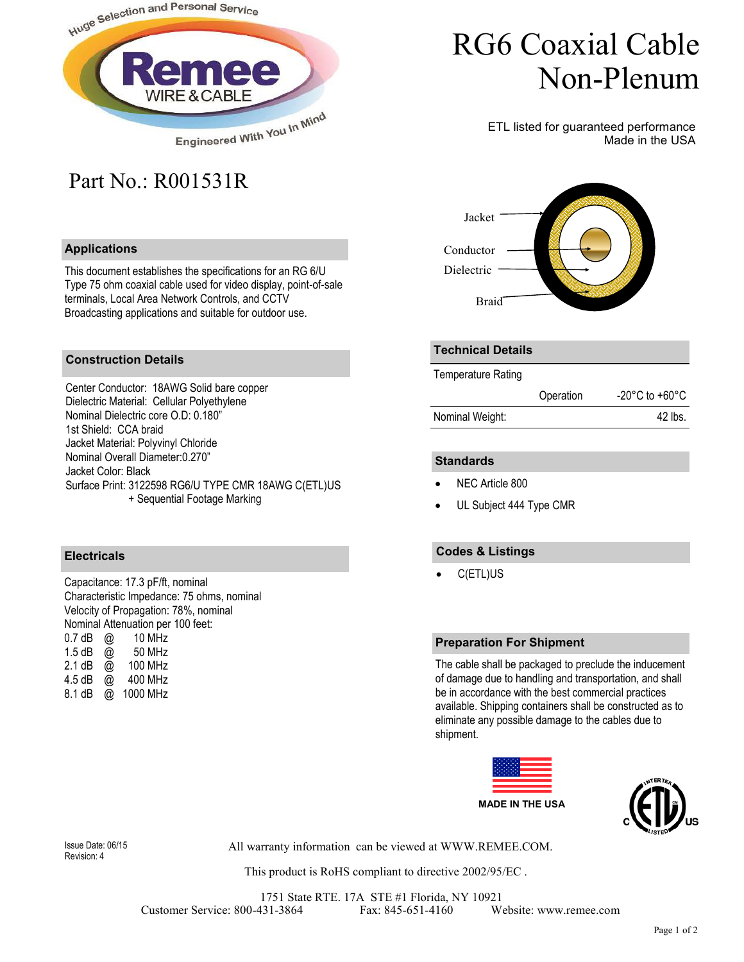

## Part No.: R001531R

### **Applications**

This document establishes the specifications for an RG 6/U Type 75 ohm coaxial cable used for video display, point-of-sale terminals, Local Area Network Controls, and CCTV Broadcasting applications and suitable for outdoor use.

# RG6 Coaxial Cable Non-Plenum

ETL listed for guaranteed performance Made in the USA



#### **Construction Details**

Center Conductor: 18AWG Solid bare copper Dielectric Material: Cellular Polyethylene Nominal Dielectric core O.D: 0.180" 1st Shield: CCA braid Jacket Material: Polyvinyl Chloride Nominal Overall Diameter:0.270" Jacket Color: Black Surface Print: 3122598 RG6/U TYPE CMR 18AWG C(ETL)US + Sequential Footage Marking

### **Electricals**

Capacitance: 17.3 pF/ft, nominal Characteristic Impedance: 75 ohms, nominal Velocity of Propagation: 78%, nominal Nominal Attenuation per 100 feet: 0.7 dB @ 10 MHz<br>1.5 dB @ 50 MHz 1.5 dB  $\omega$ 2.1 dB @ 100 MHz 4.5 dB @ 400 MHz 8.1 dB @ 1000 MHz

#### **Technical Details**

Temperature Rating

|                 | Operation | $-20^{\circ}$ C to $+60^{\circ}$ C |
|-----------------|-----------|------------------------------------|
| Nominal Weight: |           | 42 lbs.                            |

#### **Standards**

- NEC Article 800
- UL Subject 444 Type CMR

#### **Codes & Listings**

• C(ETL)US

#### **Preparation For Shipment**

The cable shall be packaged to preclude the inducement of damage due to handling and transportation, and shall be in accordance with the best commercial practices available. Shipping containers shall be constructed as to eliminate any possible damage to the cables due to shipment.





Revision: 4

All warranty information can be viewed at WWW.REMEE.COM. Issue Date: 06/15

This product is RoHS compliant to directive 2002/95/EC .

1751 State RTE. 17A STE #1 Florida, NY 10921 Customer Service: 800-431-3864 Fax: 845-651-4160 Website: www.remee.com